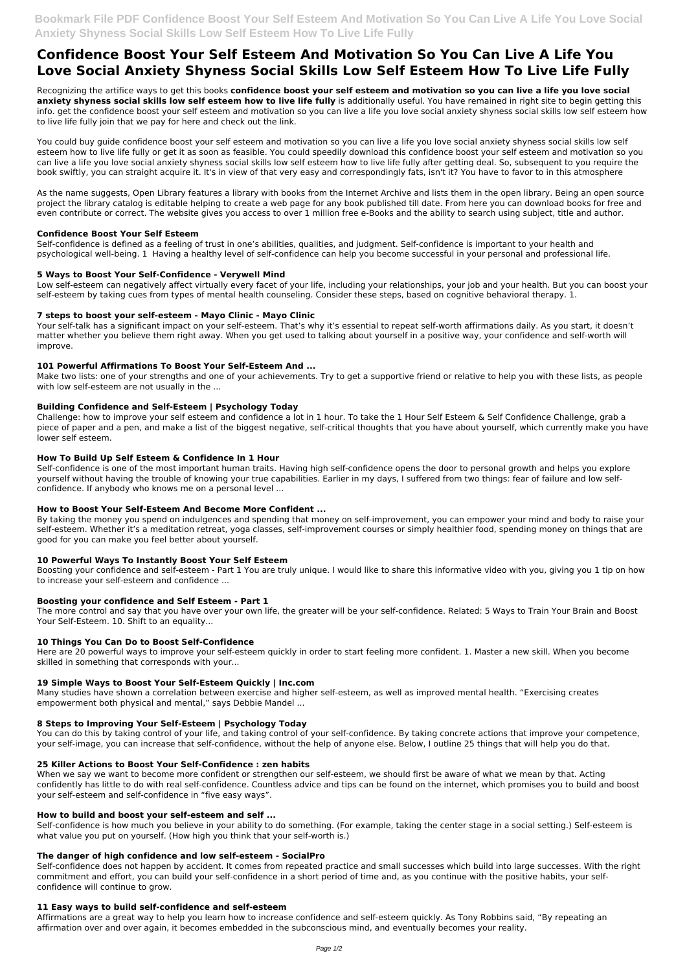# **Confidence Boost Your Self Esteem And Motivation So You Can Live A Life You Love Social Anxiety Shyness Social Skills Low Self Esteem How To Live Life Fully**

Recognizing the artifice ways to get this books **confidence boost your self esteem and motivation so you can live a life you love social anxiety shyness social skills low self esteem how to live life fully** is additionally useful. You have remained in right site to begin getting this info. get the confidence boost your self esteem and motivation so you can live a life you love social anxiety shyness social skills low self esteem how to live life fully join that we pay for here and check out the link.

You could buy guide confidence boost your self esteem and motivation so you can live a life you love social anxiety shyness social skills low self esteem how to live life fully or get it as soon as feasible. You could speedily download this confidence boost your self esteem and motivation so you can live a life you love social anxiety shyness social skills low self esteem how to live life fully after getting deal. So, subsequent to you require the book swiftly, you can straight acquire it. It's in view of that very easy and correspondingly fats, isn't it? You have to favor to in this atmosphere

Make two lists: one of your strengths and one of your achievements. Try to get a supportive friend or relative to help you with these lists, as people with low self-esteem are not usually in the ...

As the name suggests, Open Library features a library with books from the Internet Archive and lists them in the open library. Being an open source project the library catalog is editable helping to create a web page for any book published till date. From here you can download books for free and even contribute or correct. The website gives you access to over 1 million free e-Books and the ability to search using subject, title and author.

## **Confidence Boost Your Self Esteem**

Self-confidence is defined as a feeling of trust in one's abilities, qualities, and judgment. Self-confidence is important to your health and psychological well-being. 1 Having a healthy level of self-confidence can help you become successful in your personal and professional life.

## **5 Ways to Boost Your Self-Confidence - Verywell Mind**

The more control and say that you have over your own life, the greater will be your self-confidence. Related: 5 Ways to Train Your Brain and Boost Your Self-Esteem. 10. Shift to an equality...

Low self-esteem can negatively affect virtually every facet of your life, including your relationships, your job and your health. But you can boost your self-esteem by taking cues from types of mental health counseling. Consider these steps, based on cognitive behavioral therapy. 1.

## **7 steps to boost your self-esteem - Mayo Clinic - Mayo Clinic**

Your self-talk has a significant impact on your self-esteem. That's why it's essential to repeat self-worth affirmations daily. As you start, it doesn't matter whether you believe them right away. When you get used to talking about yourself in a positive way, your confidence and self-worth will improve.

## **101 Powerful Affirmations To Boost Your Self-Esteem And ...**

### **Building Confidence and Self-Esteem | Psychology Today**

Challenge: how to improve your self esteem and confidence a lot in 1 hour. To take the 1 Hour Self Esteem & Self Confidence Challenge, grab a piece of paper and a pen, and make a list of the biggest negative, self-critical thoughts that you have about yourself, which currently make you have lower self esteem.

### **How To Build Up Self Esteem & Confidence In 1 Hour**

Self-confidence is one of the most important human traits. Having high self-confidence opens the door to personal growth and helps you explore yourself without having the trouble of knowing your true capabilities. Earlier in my days, I suffered from two things: fear of failure and low selfconfidence. If anybody who knows me on a personal level ...

### **How to Boost Your Self-Esteem And Become More Confident ...**

By taking the money you spend on indulgences and spending that money on self-improvement, you can empower your mind and body to raise your self-esteem. Whether it's a meditation retreat, yoga classes, self-improvement courses or simply healthier food, spending money on things that are good for you can make you feel better about yourself.

## **10 Powerful Ways To Instantly Boost Your Self Esteem**

Boosting your confidence and self-esteem - Part 1 You are truly unique. I would like to share this informative video with you, giving you 1 tip on how to increase your self-esteem and confidence ...

## **Boosting your confidence and Self Esteem - Part 1**

### **10 Things You Can Do to Boost Self-Confidence**

Here are 20 powerful ways to improve your self-esteem quickly in order to start feeling more confident. 1. Master a new skill. When you become skilled in something that corresponds with your...

## **19 Simple Ways to Boost Your Self-Esteem Quickly | Inc.com**

Many studies have shown a correlation between exercise and higher self-esteem, as well as improved mental health. "Exercising creates empowerment both physical and mental," says Debbie Mandel ...

### **8 Steps to Improving Your Self-Esteem | Psychology Today**

You can do this by taking control of your life, and taking control of your self-confidence. By taking concrete actions that improve your competence, your self-image, you can increase that self-confidence, without the help of anyone else. Below, I outline 25 things that will help you do that.

### **25 Killer Actions to Boost Your Self-Confidence : zen habits**

When we say we want to become more confident or strengthen our self-esteem, we should first be aware of what we mean by that. Acting confidently has little to do with real self-confidence. Countless advice and tips can be found on the internet, which promises you to build and boost your self-esteem and self-confidence in "five easy ways".

#### **How to build and boost your self-esteem and self ...**

Self-confidence is how much you believe in your ability to do something. (For example, taking the center stage in a social setting.) Self-esteem is what value you put on yourself. (How high you think that your self-worth is.)

## **The danger of high confidence and low self-esteem - SocialPro**

Self-confidence does not happen by accident. It comes from repeated practice and small successes which build into large successes. With the right commitment and effort, you can build your self-confidence in a short period of time and, as you continue with the positive habits, your selfconfidence will continue to grow.

### **11 Easy ways to build self-confidence and self-esteem**

Affirmations are a great way to help you learn how to increase confidence and self-esteem quickly. As Tony Robbins said, "By repeating an affirmation over and over again, it becomes embedded in the subconscious mind, and eventually becomes your reality.